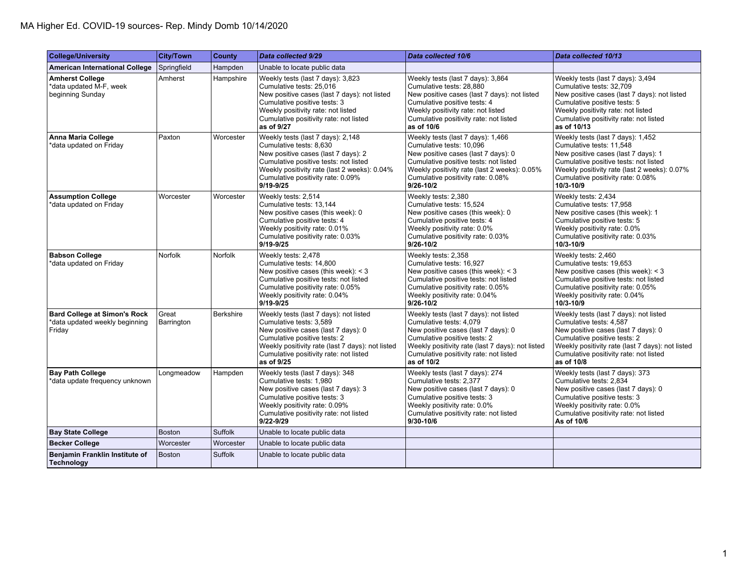| <b>College/University</b>                                                       | <b>City/Town</b>    | <b>County</b>    | Data collected 9/29                                                                                                                                                                                                                                  | Data collected 10/6                                                                                                                                                                                                                                  | Data collected 10/13                                                                                                                                                                                                                                 |
|---------------------------------------------------------------------------------|---------------------|------------------|------------------------------------------------------------------------------------------------------------------------------------------------------------------------------------------------------------------------------------------------------|------------------------------------------------------------------------------------------------------------------------------------------------------------------------------------------------------------------------------------------------------|------------------------------------------------------------------------------------------------------------------------------------------------------------------------------------------------------------------------------------------------------|
| <b>American International College</b>                                           | Springfield         | Hampden          | Unable to locate public data                                                                                                                                                                                                                         |                                                                                                                                                                                                                                                      |                                                                                                                                                                                                                                                      |
| <b>Amherst College</b><br>*data updated M-F, week<br>beginning Sunday           | Amherst             | Hampshire        | Weekly tests (last 7 days): 3,823<br>Cumulative tests: 25,016<br>New positive cases (last 7 days): not listed<br>Cumulative positive tests: 3<br>Weekly positivity rate: not listed<br>Cumulative positivity rate: not listed<br>as of 9/27          | Weekly tests (last 7 days): 3,864<br>Cumulative tests: 28,880<br>New positive cases (last 7 days): not listed<br>Cumulative positive tests: 4<br>Weekly positivity rate: not listed<br>Cumulative positivity rate: not listed<br>as of 10/6          | Weekly tests (last 7 days): 3,494<br>Cumulative tests: 32,709<br>New positive cases (last 7 days): not listed<br>Cumulative positive tests: 5<br>Weekly positivity rate: not listed<br>Cumulative positivity rate: not listed<br>as of 10/13         |
| <b>Anna Maria College</b><br>*data updated on Friday                            | Paxton              | Worcester        | Weekly tests (last 7 days): 2,148<br>Cumulative tests: 8,630<br>New positive cases (last 7 days): 2<br>Cumulative positive tests: not listed<br>Weekly positivity rate (last 2 weeks): 0.04%<br>Cumulative positivity rate: 0.09%<br>9/19-9/25       | Weekly tests (last 7 days): 1,466<br>Cumulative tests: 10,096<br>New positive cases (last 7 days): 0<br>Cumulative positive tests: not listed<br>Weekly positivity rate (last 2 weeks): 0.05%<br>Cumulative positivity rate: 0.08%<br>$9/26 - 10/2$  | Weekly tests (last 7 days): 1,452<br>Cumulative tests: 11,548<br>New positive cases (last 7 days): 1<br>Cumulative positive tests: not listed<br>Weekly positivity rate (last 2 weeks): 0.07%<br>Cumulative positivity rate: 0.08%<br>10/3-10/9      |
| <b>Assumption College</b><br>*data updated on Friday                            | Worcester           | Worcester        | Weekly tests: 2,514<br>Cumulative tests: 13,144<br>New positive cases (this week): 0<br>Cumulative positive tests: 4<br>Weekly positivity rate: 0.01%<br>Cumulative positivity rate: 0.03%<br>$9/19 - 9/25$                                          | Weekly tests: 2,380<br>Cumulative tests: 15,524<br>New positive cases (this week): 0<br>Cumulative positive tests: 4<br>Weekly positivity rate: 0.0%<br>Cumulative positivity rate: 0.03%<br>$9/26 - 10/2$                                           | Weekly tests: 2,434<br>Cumulative tests: 17,958<br>New positive cases (this week): 1<br>Cumulative positive tests: 5<br>Weekly positivity rate: 0.0%<br>Cumulative positivity rate: 0.03%<br>10/3-10/9                                               |
| <b>Babson College</b><br>*data updated on Friday                                | Norfolk             | Norfolk          | Weekly tests: 2,478<br>Cumulative tests: 14,800<br>New positive cases (this week): $<$ 3<br>Cumulative positive tests: not listed<br>Cumulative positivity rate: 0.05%<br>Weekly positivity rate: 0.04%<br>9/19-9/25                                 | Weekly tests: 2,358<br>Cumulative tests: 16,927<br>New positive cases (this week): $<$ 3<br>Cumulative positive tests: not listed<br>Cumulative positivity rate: 0.05%<br>Weekly positivity rate: 0.04%<br>$9/26 - 10/2$                             | Weekly tests: 2,460<br>Cumulative tests: 19,653<br>New positive cases (this week): $<$ 3<br>Cumulative positive tests: not listed<br>Cumulative positivity rate: 0.05%<br>Weekly positivity rate: 0.04%<br>$10/3 - 10/9$                             |
| <b>Bard College at Simon's Rock</b><br>*data updated weekly beginning<br>Friday | Great<br>Barrington | <b>Berkshire</b> | Weekly tests (last 7 days): not listed<br>Cumulative tests: 3,589<br>New positive cases (last 7 days): 0<br>Cumulative positive tests: 2<br>Weekly positivity rate (last 7 days): not listed<br>Cumulative positivity rate: not listed<br>as of 9/25 | Weekly tests (last 7 days): not listed<br>Cumulative tests: 4,079<br>New positive cases (last 7 days): 0<br>Cumulative positive tests: 2<br>Weekly positivity rate (last 7 days): not listed<br>Cumulative positivity rate: not listed<br>as of 10/2 | Weekly tests (last 7 days): not listed<br>Cumulative tests: 4,587<br>New positive cases (last 7 days): 0<br>Cumulative positive tests: 2<br>Weekly positivity rate (last 7 days): not listed<br>Cumulative positivity rate: not listed<br>as of 10/8 |
| <b>Bay Path College</b><br>*data update frequency unknown                       | Longmeadow          | Hampden          | Weekly tests (last 7 days): 348<br>Cumulative tests: 1.980<br>New positive cases (last 7 days): 3<br>Cumulative positive tests: 3<br>Weekly positivity rate: 0.09%<br>Cumulative positivity rate: not listed<br>9/22-9/29                            | Weekly tests (last 7 days): 274<br>Cumulative tests: 2.377<br>New positive cases (last 7 days): 0<br>Cumulative positive tests: 3<br>Weekly positivity rate: 0.0%<br>Cumulative positivity rate: not listed<br>9/30-10/6                             | Weekly tests (last 7 days): 373<br>Cumulative tests: 2,834<br>New positive cases (last 7 days): 0<br>Cumulative positive tests: 3<br>Weekly positivity rate: 0.0%<br>Cumulative positivity rate: not listed<br>As of 10/6                            |
| <b>Bay State College</b>                                                        | <b>Boston</b>       | <b>Suffolk</b>   | Unable to locate public data                                                                                                                                                                                                                         |                                                                                                                                                                                                                                                      |                                                                                                                                                                                                                                                      |
| <b>Becker College</b>                                                           | Worcester           | Worcester        | Unable to locate public data                                                                                                                                                                                                                         |                                                                                                                                                                                                                                                      |                                                                                                                                                                                                                                                      |
| Benjamin Franklin Institute of<br><b>Technology</b>                             | <b>Boston</b>       | <b>Suffolk</b>   | Unable to locate public data                                                                                                                                                                                                                         |                                                                                                                                                                                                                                                      |                                                                                                                                                                                                                                                      |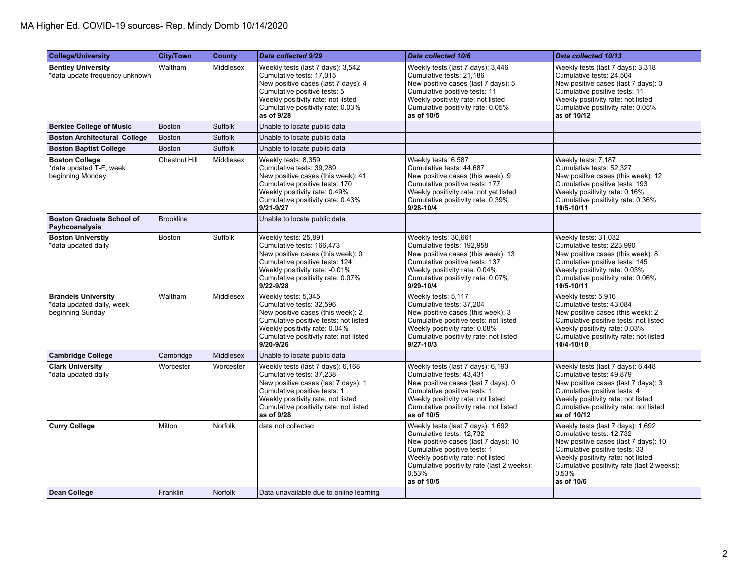| College/University                                                          | <b>City/Town</b> | <b>County</b>    | Data collected 9/29                                                                                                                                                                                                                | Data collected 10/6                                                                                                                                                                                                                              | Data collected 10/13                                                                                                                                                                                                                              |
|-----------------------------------------------------------------------------|------------------|------------------|------------------------------------------------------------------------------------------------------------------------------------------------------------------------------------------------------------------------------------|--------------------------------------------------------------------------------------------------------------------------------------------------------------------------------------------------------------------------------------------------|---------------------------------------------------------------------------------------------------------------------------------------------------------------------------------------------------------------------------------------------------|
| <b>Bentley University</b><br>*data update frequency unknown                 | Waltham          | Middlesex        | Weekly tests (last 7 days): 3,542<br>Cumulative tests: 17,015<br>New positive cases (last 7 days): 4<br>Cumulative positive tests: 5<br>Weekly positivity rate: not listed<br>Cumulative positivity rate: 0.03%<br>as of 9/28      | Weekly tests (last 7 days): 3,446<br>Cumulative tests: 21,186<br>New positive cases (last 7 days): 5<br>Cumulative positive tests: 11<br>Weekly positivity rate: not listed<br>Cumulative positivity rate: 0.05%<br>as of 10/5                   | Weekly tests (last 7 days): 3,318<br>Cumulative tests: 24,504<br>New positive cases (last 7 days): 0<br>Cumulative positive tests: 11<br>Weekly positivity rate: not listed<br>Cumulative positivity rate: 0.05%<br>as of 10/12                   |
| <b>Berklee College of Music</b>                                             | <b>Boston</b>    | Suffolk          | Unable to locate public data                                                                                                                                                                                                       |                                                                                                                                                                                                                                                  |                                                                                                                                                                                                                                                   |
| <b>Boston Architectural College</b>                                         | <b>Boston</b>    | <b>Suffolk</b>   | Unable to locate public data                                                                                                                                                                                                       |                                                                                                                                                                                                                                                  |                                                                                                                                                                                                                                                   |
| <b>Boston Baptist College</b>                                               | <b>Boston</b>    | Suffolk          | Unable to locate public data                                                                                                                                                                                                       |                                                                                                                                                                                                                                                  |                                                                                                                                                                                                                                                   |
| <b>Boston College</b><br>*data updated T-F, week<br>beginning Monday        | Chestnut Hill    | Middlesex        | Weekly tests: 8,359<br>Cumulative tests: 39,289<br>New positive cases (this week): 41<br>Cumulative positive tests: 170<br>Weekly positivity rate: 0.49%<br>Cumulative positivity rate: 0.43%<br>$9/21 - 9/27$                     | Weekly tests: 6,587<br>Cumulative tests: 44,687<br>New positive cases (this week): 9<br>Cumulative positive tests: 177<br>Weekly positivity rate: not yet listed<br>Cumulative positivity rate: 0.39%<br>$9/28 - 10/4$                           | Weekly tests: 7,187<br>Cumulative tests: 52,327<br>New positive cases (this week): 12<br>Cumulative positive tests: 193<br>Weekly positivity rate: 0.16%<br>Cumulative positivity rate: 0.36%<br>10/5-10/11                                       |
| <b>Boston Graduate School of</b><br>Psyhcoanalysis                          | <b>Brookline</b> |                  | Unable to locate public data                                                                                                                                                                                                       |                                                                                                                                                                                                                                                  |                                                                                                                                                                                                                                                   |
| <b>Boston Universtiy</b><br>*data updated daily                             | Boston           | Suffolk          | Weekly tests: 25,891<br>Cumulative tests: 166,473<br>New positive cases (this week): 0<br>Cumulative positive tests: 124<br>Weekly positivity rate: -0.01%<br>Cumulative positivity rate: 0.07%<br>$9/22 - 9/28$                   | Weekly tests: 30,661<br>Cumulative tests: 192,958<br>New positive cases (this week): 13<br>Cumulative positive tests: 137<br>Weekly positivity rate: 0.04%<br>Cumulative positivity rate: 0.07%<br>9/29-10/4                                     | Weekly tests: 31,032<br>Cumulative tests: 223,990<br>New positive cases (this week): 8<br>Cumulative positive tests: 145<br>Weekly positivity rate: 0.03%<br>Cumulative positivity rate: 0.06%<br>10/5-10/11                                      |
| <b>Brandeis University</b><br>*data updated daily, week<br>beginning Sunday | Waltham          | Middlesex        | Weekly tests: 5,345<br>Cumulative tests: 32,596<br>New positive cases (this week): 2<br>Cumulative positive tests: not listed<br>Weekly positivity rate: 0.04%<br>Cumulative positivity rate: not listed<br>9/20-9/26              | Weekly tests: 5,117<br>Cumulative tests: 37,204<br>New positive cases (this week): 3<br>Cumulative positive tests: not listed<br>Weekly positivity rate: 0.08%<br>Cumulative positivity rate: not listed<br>$9/27 - 10/3$                        | Weekly tests: 5,916<br>Cumulative tests: 43,084<br>New positive cases (this week): 2<br>Cumulative positive tests: not listed<br>Weekly positivity rate: 0.03%<br>Cumulative positivity rate: not listed<br>10/4-10/10                            |
| <b>Cambridge College</b>                                                    | Cambridge        | <b>Middlesex</b> | Unable to locate public data                                                                                                                                                                                                       |                                                                                                                                                                                                                                                  |                                                                                                                                                                                                                                                   |
| <b>Clark University</b><br>*data updated daily                              | Worcester        | Worcester        | Weekly tests (last 7 days): 6,168<br>Cumulative tests: 37,238<br>New positive cases (last 7 days): 1<br>Cumulative positive tests: 1<br>Weekly positivity rate: not listed<br>Cumulative positivity rate: not listed<br>as of 9/28 | Weekly tests (last 7 days): 6,193<br>Cumulative tests: 43,431<br>New positive cases (last 7 days): 0<br>Cumulative positive tests: 1<br>Weekly positivity rate: not listed<br>Cumulative positivity rate: not listed<br>as of 10/5               | Weekly tests (last 7 days): 6,448<br>Cumulative tests: 49,879<br>New positive cases (last 7 days): 3<br>Cumulative positive tests: 4<br>Weekly positivity rate: not listed<br>Cumulative positivity rate: not listed<br>as of 10/12               |
| <b>Curry College</b>                                                        | Milton           | <b>Norfolk</b>   | data not collected                                                                                                                                                                                                                 | Weekly tests (last 7 days): 1,692<br>Cumulative tests: 12,732<br>New positive cases (last 7 days): 10<br>Cumulative positive tests: 1<br>Weekly positivity rate: not listed<br>Cumulative positivity rate (last 2 weeks):<br>0.53%<br>as of 10/5 | Weekly tests (last 7 days): 1,692<br>Cumulative tests: 12,732<br>New positive cases (last 7 days): 10<br>Cumulative positive tests: 33<br>Weekly positivity rate: not listed<br>Cumulative positivity rate (last 2 weeks):<br>0.53%<br>as of 10/6 |
| <b>Dean College</b>                                                         | Franklin         | <b>Norfolk</b>   | Data unavailable due to online learning                                                                                                                                                                                            |                                                                                                                                                                                                                                                  |                                                                                                                                                                                                                                                   |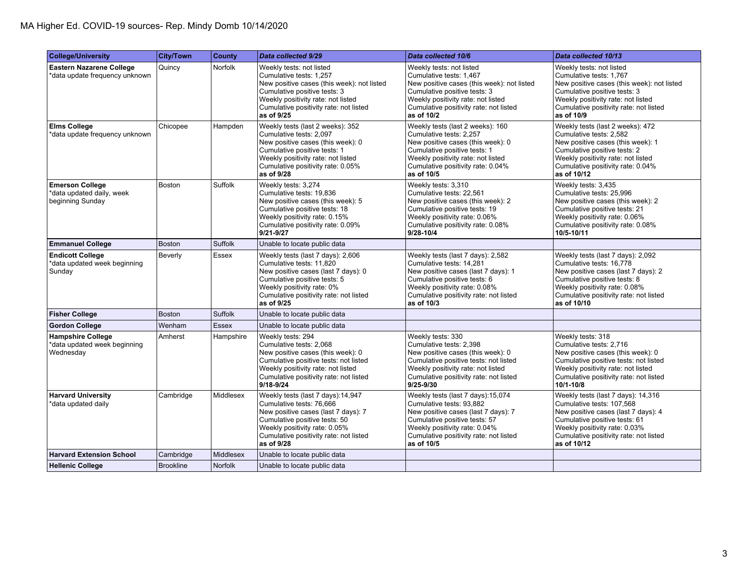| <b>College/University</b>                                               | <b>City/Town</b> | County         | Data collected 9/29                                                                                                                                                                                                             | Data collected 10/6                                                                                                                                                                                                             | Data collected 10/13                                                                                                                                                                                                              |
|-------------------------------------------------------------------------|------------------|----------------|---------------------------------------------------------------------------------------------------------------------------------------------------------------------------------------------------------------------------------|---------------------------------------------------------------------------------------------------------------------------------------------------------------------------------------------------------------------------------|-----------------------------------------------------------------------------------------------------------------------------------------------------------------------------------------------------------------------------------|
| <b>Eastern Nazarene College</b><br>*data update frequency unknown       | Quincy           | Norfolk        | Weekly tests: not listed<br>Cumulative tests: 1,257<br>New positive cases (this week): not listed<br>Cumulative positive tests: 3<br>Weekly positivity rate: not listed<br>Cumulative positivity rate: not listed<br>as of 9/25 | Weekly tests: not listed<br>Cumulative tests: 1,467<br>New positive cases (this week): not listed<br>Cumulative positive tests: 3<br>Weekly positivity rate: not listed<br>Cumulative positivity rate: not listed<br>as of 10/2 | Weekly tests: not listed<br>Cumulative tests: 1,767<br>New positive cases (this week): not listed<br>Cumulative positive tests: 3<br>Weekly positivity rate: not listed<br>Cumulative positivity rate: not listed<br>as of 10/9   |
| <b>Elms College</b><br>*data update frequency unknown                   | Chicopee         | Hampden        | Weekly tests (last 2 weeks): 352<br>Cumulative tests: 2,097<br>New positive cases (this week): 0<br>Cumulative positive tests: 1<br>Weekly positivity rate: not listed<br>Cumulative positivity rate: 0.05%<br>as of 9/28       | Weekly tests (last 2 weeks): 160<br>Cumulative tests: 2,257<br>New positive cases (this week): 0<br>Cumulative positive tests: 1<br>Weekly positivity rate: not listed<br>Cumulative positivity rate: 0.04%<br>as of 10/5       | Weekly tests (last 2 weeks): 472<br>Cumulative tests: 2,582<br>New positive cases (this week): 1<br>Cumulative positive tests: 2<br>Weekly positivity rate: not listed<br>Cumulative positivity rate: 0.04%<br>as of 10/12        |
| <b>Emerson College</b><br>*data updated daily, week<br>beginning Sunday | Boston           | Suffolk        | Weekly tests: 3,274<br>Cumulative tests: 19,836<br>New positive cases (this week): 5<br>Cumulative positive tests: 18<br>Weekly positivity rate: 0.15%<br>Cumulative positivity rate: 0.09%<br>9/21-9/27                        | Weekly tests: 3,310<br>Cumulative tests: 22,561<br>New positive cases (this week): 2<br>Cumulative positive tests: 19<br>Weekly positivity rate: 0.06%<br>Cumulative positivity rate: 0.08%<br>9/28-10/4                        | Weekly tests: 3,435<br>Cumulative tests: 25,996<br>New positive cases (this week): 2<br>Cumulative positive tests: 21<br>Weekly positivity rate: 0.06%<br>Cumulative positivity rate: 0.08%<br>10/5-10/11                         |
| <b>Emmanuel College</b>                                                 | <b>Boston</b>    | <b>Suffolk</b> | Unable to locate public data                                                                                                                                                                                                    |                                                                                                                                                                                                                                 |                                                                                                                                                                                                                                   |
| <b>Endicott College</b><br>*data updated week beginning<br>Sunday       | Beverly          | Essex          | Weekly tests (last 7 days): 2,606<br>Cumulative tests: 11.820<br>New positive cases (last 7 days): 0<br>Cumulative positive tests: 5<br>Weekly positivity rate: 0%<br>Cumulative positivity rate: not listed<br>as of 9/25      | Weekly tests (last 7 days): 2,582<br>Cumulative tests: 14.281<br>New positive cases (last 7 days): 1<br>Cumulative positive tests: 6<br>Weekly positivity rate: 0.08%<br>Cumulative positivity rate: not listed<br>as of 10/3   | Weekly tests (last 7 days): 2,092<br>Cumulative tests: 16.778<br>New positive cases (last 7 days): 2<br>Cumulative positive tests: 8<br>Weekly positivity rate: 0.08%<br>Cumulative positivity rate: not listed<br>as of 10/10    |
| <b>Fisher College</b>                                                   | <b>Boston</b>    | Suffolk        | Unable to locate public data                                                                                                                                                                                                    |                                                                                                                                                                                                                                 |                                                                                                                                                                                                                                   |
| <b>Gordon College</b>                                                   | Wenham           | <b>Essex</b>   | Unable to locate public data                                                                                                                                                                                                    |                                                                                                                                                                                                                                 |                                                                                                                                                                                                                                   |
| <b>Hampshire College</b><br>*data updated week beginning<br>Wednesday   | Amherst          | Hampshire      | Weekly tests: 294<br>Cumulative tests: 2,068<br>New positive cases (this week): 0<br>Cumulative positive tests: not listed<br>Weekly positivity rate: not listed<br>Cumulative positivity rate: not listed<br>9/18-9/24         | Weekly tests: 330<br>Cumulative tests: 2,398<br>New positive cases (this week): 0<br>Cumulative positive tests: not listed<br>Weekly positivity rate: not listed<br>Cumulative positivity rate: not listed<br>9/25-9/30         | Weekly tests: 318<br>Cumulative tests: 2,716<br>New positive cases (this week): 0<br>Cumulative positive tests: not listed<br>Weekly positivity rate: not listed<br>Cumulative positivity rate: not listed<br>$10/1 - 10/8$       |
| <b>Harvard University</b><br>*data updated daily                        | Cambridge        | Middlesex      | Weekly tests (last 7 days):14,947<br>Cumulative tests: 76,666<br>New positive cases (last 7 days): 7<br>Cumulative positive tests: 50<br>Weekly positivity rate: 0.05%<br>Cumulative positivity rate: not listed<br>as of 9/28  | Weekly tests (last 7 days): 15,074<br>Cumulative tests: 93.882<br>New positive cases (last 7 days): 7<br>Cumulative positive tests: 57<br>Weekly positivity rate: 0.04%<br>Cumulative positivity rate: not listed<br>as of 10/5 | Weekly tests (last 7 days): 14,316<br>Cumulative tests: 107,568<br>New positive cases (last 7 days): 4<br>Cumulative positive tests: 61<br>Weekly positivity rate: 0.03%<br>Cumulative positivity rate: not listed<br>as of 10/12 |
| <b>Harvard Extension School</b>                                         | Cambridge        | Middlesex      | Unable to locate public data                                                                                                                                                                                                    |                                                                                                                                                                                                                                 |                                                                                                                                                                                                                                   |
| <b>Hellenic College</b>                                                 | <b>Brookline</b> | Norfolk        | Unable to locate public data                                                                                                                                                                                                    |                                                                                                                                                                                                                                 |                                                                                                                                                                                                                                   |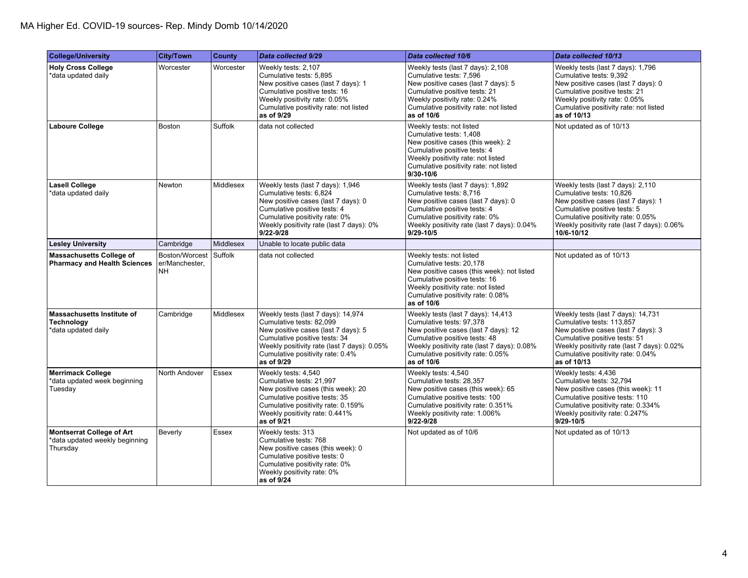| <b>College/University</b>                                                      | <b>City/Town</b>                       | <b>County</b> | Data collected 9/29                                                                                                                                                                                                                     | Data collected 10/6                                                                                                                                                                                                                       | Data collected 10/13                                                                                                                                                                                                                       |
|--------------------------------------------------------------------------------|----------------------------------------|---------------|-----------------------------------------------------------------------------------------------------------------------------------------------------------------------------------------------------------------------------------------|-------------------------------------------------------------------------------------------------------------------------------------------------------------------------------------------------------------------------------------------|--------------------------------------------------------------------------------------------------------------------------------------------------------------------------------------------------------------------------------------------|
| <b>Holy Cross College</b><br>data updated daily*                               | Worcester                              | Worcester     | Weekly tests: 2,107<br>Cumulative tests: 5,895<br>New positive cases (last 7 days): 1<br>Cumulative positive tests: 16<br>Weekly positivity rate: 0.05%<br>Cumulative positivity rate: not listed<br>as of 9/29                         | Weekly tests (last 7 days): 2,108<br>Cumulative tests: 7,596<br>New positive cases (last 7 days): 5<br>Cumulative positive tests: 21<br>Weekly positivity rate: 0.24%<br>Cumulative positivity rate: not listed<br>as of 10/6             | Weekly tests (last 7 days): 1,796<br>Cumulative tests: 9,392<br>New positive cases (last 7 days): 0<br>Cumulative positive tests: 21<br>Weekly positivity rate: 0.05%<br>Cumulative positivity rate: not listed<br>as of 10/13             |
| <b>Laboure College</b>                                                         | <b>Boston</b>                          | Suffolk       | data not collected                                                                                                                                                                                                                      | Weekly tests: not listed<br>Cumulative tests: 1,408<br>New positive cases (this week): 2<br>Cumulative positive tests: 4<br>Weekly positivity rate: not listed<br>Cumulative positivity rate: not listed<br>$9/30 - 10/6$                 | Not updated as of 10/13                                                                                                                                                                                                                    |
| Lasell College<br>*data updated daily                                          | Newton                                 | Middlesex     | Weekly tests (last 7 days): 1,946<br>Cumulative tests: 6,824<br>New positive cases (last 7 days): 0<br>Cumulative positive tests: 4<br>Cumulative positivity rate: 0%<br>Weekly positivity rate (last 7 days): 0%<br>$9/22 - 9/28$      | Weekly tests (last 7 days): 1,892<br>Cumulative tests: 8,716<br>New positive cases (last 7 days): 0<br>Cumulative positive tests: 4<br>Cumulative positivity rate: 0%<br>Weekly positivity rate (last 7 days): 0.04%<br>$9/29 - 10/5$     | Weekly tests (last 7 days): 2,110<br>Cumulative tests: 10,826<br>New positive cases (last 7 days): 1<br>Cumulative positive tests: 5<br>Cumulative positivity rate: 0.05%<br>Weekly positivity rate (last 7 days): 0.06%<br>10/6-10/12     |
| <b>Lesley University</b>                                                       | Cambridge                              | Middlesex     | Unable to locate public data                                                                                                                                                                                                            |                                                                                                                                                                                                                                           |                                                                                                                                                                                                                                            |
| Massachusetts College of<br><b>Pharmacy and Health Sciences</b>                | Boston/Worcest<br>er/Manchester.<br>NΗ | Suffolk       | data not collected                                                                                                                                                                                                                      | Weekly tests: not listed<br>Cumulative tests: 20,178<br>New positive cases (this week): not listed<br>Cumulative positive tests: 16<br>Weekly positivity rate: not listed<br>Cumulative positivity rate: 0.08%<br>as of 10/6              | Not updated as of 10/13                                                                                                                                                                                                                    |
| Massachusetts Institute of<br><b>Technology</b><br>*data updated daily         | Cambridge                              | Middlesex     | Weekly tests (last 7 days): 14,974<br>Cumulative tests: 82,099<br>New positive cases (last 7 days): 5<br>Cumulative positive tests: 34<br>Weekly positivity rate (last 7 days): 0.05%<br>Cumulative positivity rate: 0.4%<br>as of 9/29 | Weekly tests (last 7 days): 14,413<br>Cumulative tests: 97,378<br>New positive cases (last 7 days): 12<br>Cumulative positive tests: 48<br>Weekly positivity rate (last 7 days): 0.08%<br>Cumulative positivity rate: 0.05%<br>as of 10/6 | Weekly tests (last 7 days): 14,731<br>Cumulative tests: 113,857<br>New positive cases (last 7 days): 3<br>Cumulative positive tests: 51<br>Weekly positivity rate (last 7 days): 0.02%<br>Cumulative positivity rate: 0.04%<br>as of 10/13 |
| <b>Merrimack College</b><br>*data updated week beginning<br>Tuesday            | North Andover                          | <b>Essex</b>  | Weekly tests: 4,540<br>Cumulative tests: 21,997<br>New positive cases (this week): 20<br>Cumulative positive tests: 35<br>Cumulative positivity rate: 0.159%<br>Weekly positivity rate: 0.441%<br>as of 9/21                            | Weekly tests: 4,540<br>Cumulative tests: 28,357<br>New positive cases (this week): 65<br>Cumulative positive tests: 100<br>Cumulative positivity rate: 0.351%<br>Weekly positivity rate: 1.006%<br>$9/22 - 9/28$                          | Weekly tests: 4,436<br>Cumulative tests: 32,794<br>New positive cases (this week): 11<br>Cumulative positive tests: 110<br>Cumulative positivity rate: 0.334%<br>Weekly positivity rate: 0.247%<br>$9/29 - 10/5$                           |
| <b>Montserrat College of Art</b><br>*data updated weekly beginning<br>Thursday | Beverly                                | Essex         | Weekly tests: 313<br>Cumulative tests: 768<br>New positive cases (this week): 0<br>Cumulative positive tests: 0<br>Cumulative positivity rate: 0%<br>Weekly positivity rate: 0%<br>as of 9/24                                           | Not updated as of 10/6                                                                                                                                                                                                                    | Not updated as of 10/13                                                                                                                                                                                                                    |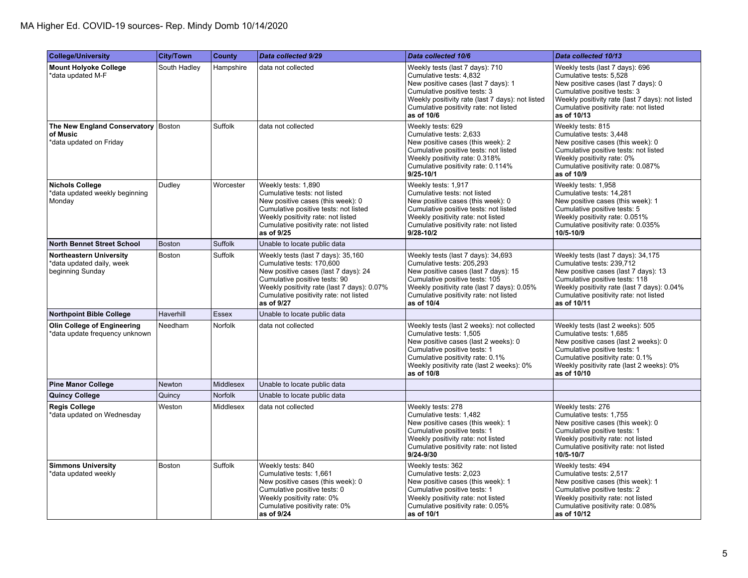| College/University                                                              | <b>City/Town</b> | <b>County</b> | Data collected 9/29                                                                                                                                                                                                                             | Data collected 10/6                                                                                                                                                                                                                              | Data collected 10/13                                                                                                                                                                                                                              |
|---------------------------------------------------------------------------------|------------------|---------------|-------------------------------------------------------------------------------------------------------------------------------------------------------------------------------------------------------------------------------------------------|--------------------------------------------------------------------------------------------------------------------------------------------------------------------------------------------------------------------------------------------------|---------------------------------------------------------------------------------------------------------------------------------------------------------------------------------------------------------------------------------------------------|
| <b>Mount Holyoke College</b><br>*data updated M-F                               | South Hadley     | Hampshire     | data not collected                                                                                                                                                                                                                              | Weekly tests (last 7 days): 710<br>Cumulative tests: 4,832<br>New positive cases (last 7 days): 1<br>Cumulative positive tests: 3<br>Weekly positivity rate (last 7 days): not listed<br>Cumulative positivity rate: not listed<br>as of 10/6    | Weekly tests (last 7 days): 696<br>Cumulative tests: 5,528<br>New positive cases (last 7 days): 0<br>Cumulative positive tests: 3<br>Weekly positivity rate (last 7 days): not listed<br>Cumulative positivity rate: not listed<br>as of 10/13    |
| The New England Conservatory   Boston<br>of Music<br>*data updated on Friday    |                  | Suffolk       | data not collected                                                                                                                                                                                                                              | Weekly tests: 629<br>Cumulative tests: 2,633<br>New positive cases (this week): 2<br>Cumulative positive tests: not listed<br>Weekly positivity rate: 0.318%<br>Cumulative positivity rate: 0.114%<br>$9/25 - 10/1$                              | Weekly tests: 815<br>Cumulative tests: 3,448<br>New positive cases (this week): 0<br>Cumulative positive tests: not listed<br>Weekly positivity rate: 0%<br>Cumulative positivity rate: 0.087%<br>as of 10/9                                      |
| <b>Nichols College</b><br>*data updated weekly beginning<br>Monday              | Dudley           | Worcester     | Weekly tests: 1,890<br>Cumulative tests: not listed<br>New positive cases (this week): 0<br>Cumulative positive tests: not listed<br>Weekly positivity rate: not listed<br>Cumulative positivity rate: not listed<br>as of 9/25                 | Weekly tests: 1,917<br>Cumulative tests: not listed<br>New positive cases (this week): 0<br>Cumulative positive tests: not listed<br>Weekly positivity rate: not listed<br>Cumulative positivity rate: not listed<br>$9/28 - 10/2$               | Weekly tests: 1,958<br>Cumulative tests: 14,281<br>New positive cases (this week): 1<br>Cumulative positive tests: 5<br>Weekly positivity rate: 0.051%<br>Cumulative positivity rate: 0.035%<br>10/5-10/9                                         |
| <b>North Bennet Street School</b>                                               | <b>Boston</b>    | Suffolk       | Unable to locate public data                                                                                                                                                                                                                    |                                                                                                                                                                                                                                                  |                                                                                                                                                                                                                                                   |
| <b>Northeastern University</b><br>*data updated daily, week<br>beginning Sunday | Boston           | Suffolk       | Weekly tests (last 7 days): 35,160<br>Cumulative tests: 170,600<br>New positive cases (last 7 days): 24<br>Cumulative positive tests: 90<br>Weekly positivity rate (last 7 days): 0.07%<br>Cumulative positivity rate: not listed<br>as of 9/27 | Weekly tests (last 7 days): 34,693<br>Cumulative tests: 205,293<br>New positive cases (last 7 days): 15<br>Cumulative positive tests: 105<br>Weekly positivity rate (last 7 days): 0.05%<br>Cumulative positivity rate: not listed<br>as of 10/4 | Weekly tests (last 7 days): 34,175<br>Cumulative tests: 239,712<br>New positive cases (last 7 days): 13<br>Cumulative positive tests: 118<br>Weekly positivity rate (last 7 days): 0.04%<br>Cumulative positivity rate: not listed<br>as of 10/11 |
| <b>Northpoint Bible College</b>                                                 | Haverhill        | <b>Essex</b>  | Unable to locate public data                                                                                                                                                                                                                    |                                                                                                                                                                                                                                                  |                                                                                                                                                                                                                                                   |
| <b>Olin College of Engineering</b><br>*data update frequency unknown            | Needham          | Norfolk       | data not collected                                                                                                                                                                                                                              | Weekly tests (last 2 weeks): not collected<br>Cumulative tests: 1,505<br>New positive cases (last 2 weeks): 0<br>Cumulative positive tests: 1<br>Cumulative positivity rate: 0.1%<br>Weekly positivity rate (last 2 weeks): 0%<br>as of 10/8     | Weekly tests (last 2 weeks): 505<br>Cumulative tests: 1,685<br>New positive cases (last 2 weeks): 0<br>Cumulative positive tests: 1<br>Cumulative positivity rate: 0.1%<br>Weekly positivity rate (last 2 weeks): 0%<br>as of 10/10               |
| <b>Pine Manor College</b>                                                       | Newton           | Middlesex     | Unable to locate public data                                                                                                                                                                                                                    |                                                                                                                                                                                                                                                  |                                                                                                                                                                                                                                                   |
| <b>Quincy College</b>                                                           | Quincy           | Norfolk       | Unable to locate public data                                                                                                                                                                                                                    |                                                                                                                                                                                                                                                  |                                                                                                                                                                                                                                                   |
| <b>Regis College</b><br>*data updated on Wednesday                              | Weston           | Middlesex     | data not collected                                                                                                                                                                                                                              | Weekly tests: 278<br>Cumulative tests: 1,482<br>New positive cases (this week): 1<br>Cumulative positive tests: 1<br>Weekly positivity rate: not listed<br>Cumulative positivity rate: not listed<br>9/24-9/30                                   | Weekly tests: 276<br>Cumulative tests: 1,755<br>New positive cases (this week): 0<br>Cumulative positive tests: 1<br>Weekly positivity rate: not listed<br>Cumulative positivity rate: not listed<br>10/5-10/7                                    |
| <b>Simmons University</b><br>*data updated weekly                               | <b>Boston</b>    | Suffolk       | Weekly tests: 840<br>Cumulative tests: 1,661<br>New positive cases (this week): 0<br>Cumulative positive tests: 0<br>Weekly positivity rate: 0%<br>Cumulative positivity rate: 0%<br>as of 9/24                                                 | Weekly tests: 362<br>Cumulative tests: 2,023<br>New positive cases (this week): 1<br>Cumulative positive tests: 1<br>Weekly positivity rate: not listed<br>Cumulative positivity rate: 0.05%<br>as of 10/1                                       | Weekly tests: 494<br>Cumulative tests: 2.517<br>New positive cases (this week): 1<br>Cumulative positive tests: 2<br>Weekly positivity rate: not listed<br>Cumulative positivity rate: 0.08%<br>as of 10/12                                       |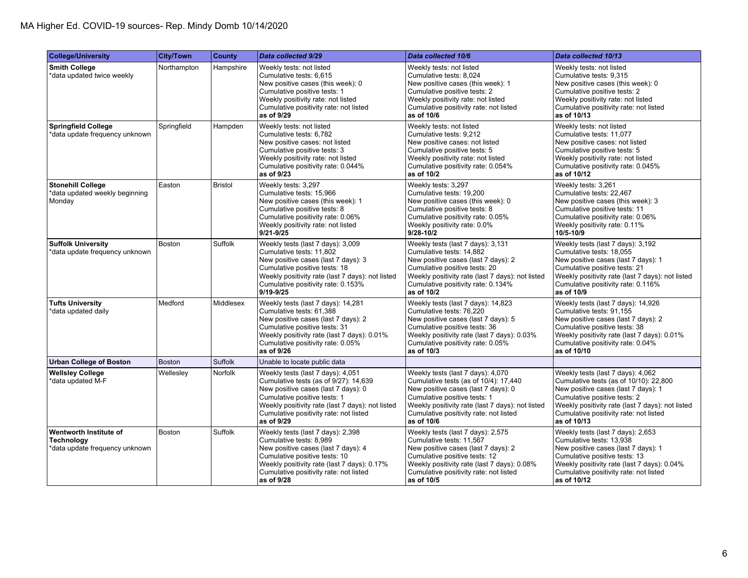| <b>College/University</b>                                                    | <b>City/Town</b> | <b>County</b>  | Data collected 9/29                                                                                                                                                                                                                                           | Data collected 10/6                                                                                                                                                                                                                                           | Data collected 10/13                                                                                                                                                                                                                                            |
|------------------------------------------------------------------------------|------------------|----------------|---------------------------------------------------------------------------------------------------------------------------------------------------------------------------------------------------------------------------------------------------------------|---------------------------------------------------------------------------------------------------------------------------------------------------------------------------------------------------------------------------------------------------------------|-----------------------------------------------------------------------------------------------------------------------------------------------------------------------------------------------------------------------------------------------------------------|
| <b>Smith College</b><br>*data updated twice weekly                           | Northampton      | Hampshire      | Weekly tests: not listed<br>Cumulative tests: 6,615<br>New positive cases (this week): 0<br>Cumulative positive tests: 1<br>Weekly positivity rate: not listed<br>Cumulative positivity rate: not listed<br>as of 9/29                                        | Weekly tests: not listed<br>Cumulative tests: 8,024<br>New positive cases (this week): 1<br>Cumulative positive tests: 2<br>Weekly positivity rate: not listed<br>Cumulative positivity rate: not listed<br>as of 10/6                                        | Weekly tests: not listed<br>Cumulative tests: 9,315<br>New positive cases (this week): 0<br>Cumulative positive tests: 2<br>Weekly positivity rate: not listed<br>Cumulative positivity rate: not listed<br>as of 10/13                                         |
| <b>Springfield College</b><br>*data update frequency unknown                 | Springfield      | Hampden        | Weekly tests: not listed<br>Cumulative tests: 6,782<br>New positive cases: not listed<br>Cumulative positive tests: 3<br>Weekly positivity rate: not listed<br>Cumulative positivity rate: 0.044%<br>as of 9/23                                               | Weekly tests: not listed<br>Cumulative tests: 9,212<br>New positive cases: not listed<br>Cumulative positive tests: 5<br>Weekly positivity rate: not listed<br>Cumulative positivity rate: 0.054%<br>as of 10/2                                               | Weekly tests: not listed<br>Cumulative tests: 11,077<br>New positive cases: not listed<br>Cumulative positive tests: 5<br>Weekly positivity rate: not listed<br>Cumulative positivity rate: 0.045%<br>as of 10/12                                               |
| <b>Stonehill College</b><br>*data updated weekly beginning<br>Monday         | Easton           | <b>Bristol</b> | Weekly tests: 3,297<br>Cumulative tests: 15,966<br>New positive cases (this week): 1<br>Cumulative positive tests: 8<br>Cumulative positivity rate: 0.06%<br>Weekly positivity rate: not listed<br>$9/21 - 9/25$                                              | Weekly tests: 3,297<br>Cumulative tests: 19,200<br>New positive cases (this week): 0<br>Cumulative positive tests: 8<br>Cumulative positivity rate: 0.05%<br>Weekly positivity rate: 0.0%<br>$9/28 - 10/2$                                                    | Weekly tests: 3,261<br>Cumulative tests: 22,467<br>New positive cases (this week): 3<br>Cumulative positive tests: 11<br>Cumulative positivity rate: 0.06%<br>Weekly positivity rate: 0.11%<br>10/5-10/9                                                        |
| <b>Suffolk University</b><br>*data update frequency unknown                  | <b>Boston</b>    | Suffolk        | Weekly tests (last 7 days): 3,009<br>Cumulative tests: 11,802<br>New positive cases (last 7 days): 3<br>Cumulative positive tests: 18<br>Weekly positivity rate (last 7 days): not listed<br>Cumulative positivity rate: 0.153%<br>$9/19 - 9/25$              | Weekly tests (last 7 days): 3,131<br>Cumulative tests: 14,882<br>New positive cases (last 7 days): 2<br>Cumulative positive tests: 20<br>Weekly positivity rate (last 7 days): not listed<br>Cumulative positivity rate: 0.134%<br>as of 10/2                 | Weekly tests (last 7 days): 3,192<br>Cumulative tests: 18,055<br>New positive cases (last 7 days): 1<br>Cumulative positive tests: 21<br>Weekly positivity rate (last 7 days): not listed<br>Cumulative positivity rate: 0.116%<br>as of 10/9                   |
| <b>Tufts University</b><br>data updated daily <sup>*</sup>                   | Medford          | Middlesex      | Weekly tests (last 7 days): 14,281<br>Cumulative tests: 61,388<br>New positive cases (last 7 days): 2<br>Cumulative positive tests: 31<br>Weekly positivity rate (last 7 days): 0.01%<br>Cumulative positivity rate: 0.05%<br>as of 9/26                      | Weekly tests (last 7 days): 14,823<br>Cumulative tests: 76,220<br>New positive cases (last 7 days): 5<br>Cumulative positive tests: 36<br>Weekly positivity rate (last 7 days): 0.03%<br>Cumulative positivity rate: 0.05%<br>as of 10/3                      | Weekly tests (last 7 days): 14,926<br>Cumulative tests: 91,155<br>New positive cases (last 7 days): 2<br>Cumulative positive tests: 38<br>Weekly positivity rate (last 7 days): 0.01%<br>Cumulative positivity rate: 0.04%<br>as of 10/10                       |
| <b>Urban College of Boston</b>                                               | <b>Boston</b>    | <b>Suffolk</b> | Unable to locate public data                                                                                                                                                                                                                                  |                                                                                                                                                                                                                                                               |                                                                                                                                                                                                                                                                 |
| <b>Wellsley College</b><br>*data updated M-F                                 | Wellesley        | <b>Norfolk</b> | Weekly tests (last 7 days): 4,051<br>Cumulative tests (as of 9/27): 14,639<br>New positive cases (last 7 days): 0<br>Cumulative positive tests: 1<br>Weekly positivity rate (last 7 days): not listed<br>Cumulative positivity rate: not listed<br>as of 9/29 | Weekly tests (last 7 days): 4,070<br>Cumulative tests (as of 10/4): 17,440<br>New positive cases (last 7 days): 0<br>Cumulative positive tests: 1<br>Weekly positivity rate (last 7 days): not listed<br>Cumulative positivity rate: not listed<br>as of 10/6 | Weekly tests (last 7 days): 4,062<br>Cumulative tests (as of 10/10): 22,800<br>New positive cases (last 7 days): 1<br>Cumulative positive tests: 2<br>Weekly positivity rate (last 7 days): not listed<br>Cumulative positivity rate: not listed<br>as of 10/13 |
| Wentworth Institute of<br><b>Technology</b><br>data update frequency unknown | <b>Boston</b>    | Suffolk        | Weekly tests (last 7 days): 2,398<br>Cumulative tests: 8,989<br>New positive cases (last 7 days): 4<br>Cumulative positive tests: 10<br>Weekly positivity rate (last 7 days): 0.17%<br>Cumulative positivity rate: not listed<br>as of 9/28                   | Weekly tests (last 7 days): 2,575<br>Cumulative tests: 11,567<br>New positive cases (last 7 days): 2<br>Cumulative positive tests: 12<br>Weekly positivity rate (last 7 days): 0.08%<br>Cumulative positivity rate: not listed<br>as of 10/5                  | Weekly tests (last 7 days): 2,653<br>Cumulative tests: 13,938<br>New positive cases (last 7 days): 1<br>Cumulative positive tests: 13<br>Weekly positivity rate (last 7 days): 0.04%<br>Cumulative positivity rate: not listed<br>as of 10/12                   |